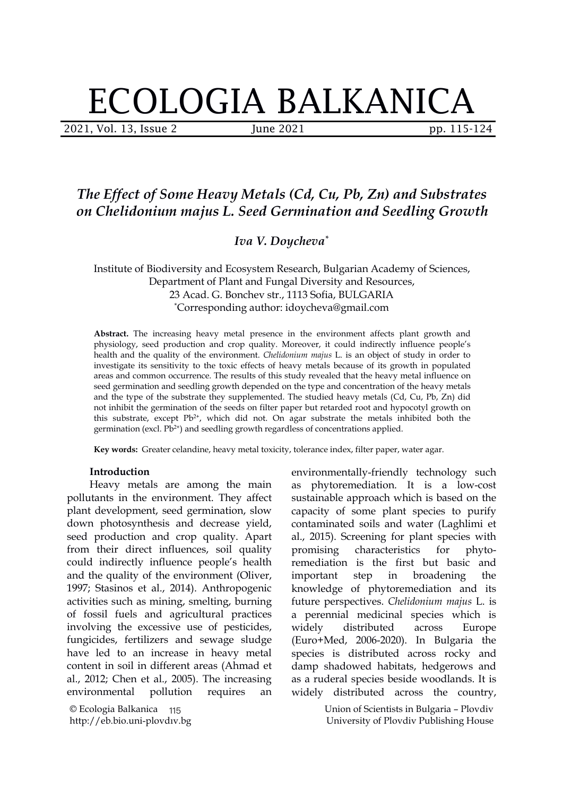# ECOLOGIA BALKANICA

2021, Vol. 13, Issue 2 *June 2021 pp. 115-124* 

## *The Effect of Some Heavy Metals (Cd, Cu, Pb, Zn) and Substrates on Chelidonium majus L. Seed Germination and Seedling Growth*

*Iva V. Doycheva \**

Institute of Biodiversity and Ecosystem Research, Bulgarian Academy of Sciences, Department of Plant and Fungal Diversity and Resources, 23 Acad. G. Bonchev str., 1113 Sofia, BULGARIA \*Corresponding author: idoycheva@gmail.com

Abstract. The increasing heavy metal presence in the environment affects plant growth and physiology, seed production and crop quality. Moreover, it could indirectly influence people's health and the quality of the environment. *Chelidonium majus* L. is an object of study in order to investigate its sensitivity to the toxic effects of heavy metals because of its growth in populated areas and common occurrence. The results of this study revealed that the heavy metal influence on seed germination and seedling growth depended on the type and concentration of the heavy metals and the type of the substrate they supplemented. The studied heavy metals (Cd, Cu, Pb, Zn) did not inhibit the germination of the seeds on filter paper but retarded root and hypocotyl growth on this substrate, except  $Pb^{2+}$ , which did not. On agar substrate the metals inhibited both the germination (excl. Pb 2+ ) and seedling growth regardless of concentrations applied.

**Key words:** Greater celandine, heavy metal toxicity, tolerance index, filter paper, water agar.

### **Introduction**

Heavy metals are among the main pollutants in the environment. They affect plant development, seed germination, slow down photosynthesis and decrease yield, seed production and crop quality. Apart from their direct influences, soil quality could indirectly influence people's health and the quality of the environment (Oliver, 1997; Stasinos et al., 2014). Anthropogenic activities such as mining, smelting, burning of fossil fuels and agricultural practices involving the excessive use of pesticides, fungicides, fertilizers and sewage sludge have led to an increase in heavy metal content in soil in different areas (Ahmad et al., 2012; Chen et al., 2005). The increasing environmental pollution requires an

© Ecologia Balkanica http://eb.bio.uni-plovdiv.bg 115 environmentally-friendly technology such as phytoremediation. It is a low-cost sustainable approach which is based on the capacity of some plant species to purify contaminated soils and water (Laghlimi et al., 2015). Screening for plant species with characteristics for phytoremediation is the first but basic and step in broadening the knowledge of phytoremediation and its future perspectives. *Chelidonium majus* L. is a perennial medicinal species which is distributed across Europe (Euro+Med, 2006-2020). In Bulgaria the species is distributed across rocky and damp shadowed habitats, hedgerows and as a ruderal species beside woodlands. It is distributed across the country,

> Union of Scientists in Bulgaria – Plovdiv University of Plovdiv Publishing House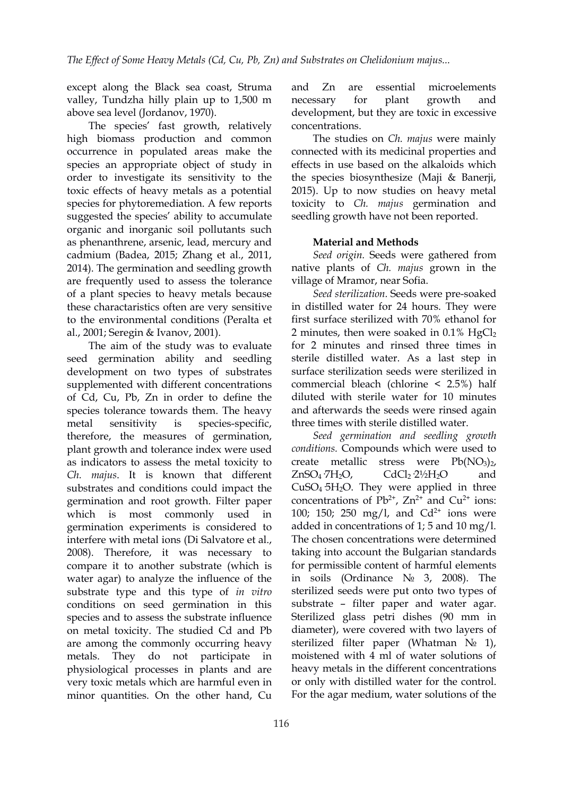except along the Black sea coast, Struma and Zn are valley, Tundzha hilly plain up to 1,500 m express to replant growth above sea level (Jordanov, 1970).

The species' fast growth, relatively high biomass production and common occurrence in populated areas make the species an appropriate object of study in order to investigate its sensitivity to the toxic effects of heavy metals as a potential species for phytoremediation. A few reports suggested the species' ability to accumulate organic and inorganic soil pollutants such as phenanthrene, arsenic, lead, mercury and cadmium (Badea, 2015; Zhang et al., 2011, 2014). The germination and seedling growth are frequently used to assess the tolerance of a plant species to heavy metals because these charactaristics often are very sensitive to the environmental conditions (Peralta et al., 2001; Seregin & Ivanov, 2001).

The aim of the study was to evaluate seed germination ability and seedling development on two types of substrates supplemented with different concentrations of Cd, Cu, Pb, Zn in order to define the species tolerance towards them. The heavy metal sensitivity is species-specific, therefore, the measures of germination, plant growth and tolerance index were used as indicators to assess the metal toxicity to create metallic *Ch. majus*. It is known that different substrates and conditions could impact the germination and root growth. Filter paper which is most commonly used in germination experiments is considered to interfere with metal ions (Di Salvatore et al., 2008). Therefore, it was necessary to compare it to another substrate (which is water agar) to analyze the influence of the substrate type and this type of *in vitro* conditions on seed germination in this species and to assess the substrate influence on metal toxicity. The studied Cd and Pb are among the commonly occurring heavy metals. They do not participate in physiological processes in plants and are very toxic metals which are harmful even in minor quantities. On the other hand, Cu

essential microelements necessary for plant growth and development, but they are toxic in excessive concentrations.

The studies on *Ch.majus* were mainly connected with its medicinal properties and effects in use based on the alkaloids which the species biosynthesize (Maji & Banerji, 2015). Up to now studies on heavy metal toxicity to *Ch. majus* germination and seedling growth have not been reported.

### **Material and Methods**

*Seed origin.* Seeds were gathered from native plants of *Ch. majus* grown in the village of Mramor, near Sofia.

*Seed sterilization.* Seeds were pre-soaked in distilled water for 24 hours. They were first surface sterilized with 70% ethanol for 2 minutes, then were soaked in  $0.1\%$  HgCl<sub>2</sub> for 2 minutes and rinsed three times in sterile distilled water. As a last step in surface sterilization seeds were sterilized in commercial bleach (chlorine < 2.5%) half diluted with sterile water for 10 minutes and afterwards the seeds were rinsed again three times with sterile distilled water.

*Seed germination and seedling growth conditions.* Compounds which were used to stress were  $Pb(NO_3)_2$ ,  $CdCl<sub>2</sub> 2½H<sub>2</sub>O$  and  $CuSO<sub>4</sub>5H<sub>2</sub>O$ . They were applied in three concentrations of  $Pb^{2+}$ ,  $Zn^{2+}$  and  $Cu^{2+}$  ions: 100; 150; 250 mg/l, and  $Cd^{2+}$  ions were added in concentrations of 1; 5 and 10 mg/l. The chosen concentrations were determined taking into account the Bulgarian standards for permissible content of harmful elements in soils (Ordinance № 3, 2008). The sterilized seeds were put onto two types of substrate – filter paper and water agar. Sterilized glass petri dishes (90 mm in diameter), were covered with two layers of sterilized filter paper (Whatman № 1), moistened with 4 ml of water solutions of heavy metals in the different concentrations or only with distilled water for the control. For the agar medium, water solutions of the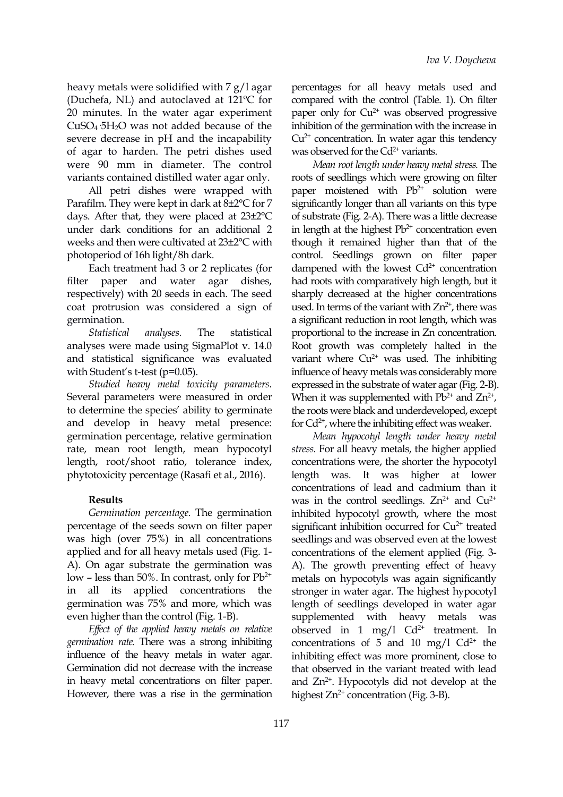heavy metals were solidified with 7 g/l agar (Duchefa, NL) and autoclaved at 121ºC for 20 minutes. In the water agar experiment  $CuSO<sub>4</sub>5H<sub>2</sub>O$  was not added because of the severe decrease in pH and the incapability of agar to harden. The petri dishes used were 90 mm in diameter. The control variants contained distilled water agar only.

All petri dishes were wrapped with Parafilm. They were kept in dark at 8±2°C for 7 days. After that, they were placed at 23±2°C under dark conditions for an additional 2 weeks and then were cultivated at 23±2°C with photoperiod of 16h light/8h dark.

Each treatment had 3 or 2 replicates (for filter paper and water agar dishes, respectively) with 20 seeds in each. The seed coat protrusion was considered a sign of germination.

*Statistical analyses.* The statistical analyses were made using SigmaPlot v. 14.0 and statistical significance was evaluated with Student's t-test (p=0.05).

*Studied heavy metal toxicity parameters.* Several parameters were measured in order to determine the species' ability to germinate and develop in heavy metal presence: germination percentage, relative germination rate, mean root length, mean hypocotyl length, root/shoot ratio, tolerance index, phytotoxicity percentage (Rasafi et al.,2016).

### **Results**

*Germination percentage.* The germination percentage of the seeds sown on filter paper was high (over 75%) in all concentrations applied and for all heavy metals used (Fig. 1- A). On agar substrate the germination was low – less than 50%. In contrast, only for  $Pb^{2+}$ in all its applied concentrations the germination was 75% and more, which was even higher than the control (Fig. 1-B).

*Efect of the applied heavy metals on relative germination rate.* There was a strong inhibiting influence of the heavy metals in water agar. Germination did not decrease with the increase in heavy metal concentrations on filter paper. However, there was a rise in the germination

percentages for all heavy metals used and compared with the control (Table. 1). On filter paper only for Cu 2+ was observed progressive inhibition of the germination with the increase in Cu 2+ concentration. In water agar this tendency was observed for the  $Cd^{2+}$  variants.

*Mean root length under heavy metal stress.* The roots of seedlings which were growing on filter paper moistened with Pb 2+ solution were significantly longer than all variants on this type of substrate (Fig. 2-A). There was a little decrease in length at the highest Pb<sup>2+</sup> concentration even though it remained higher than that of the control. Seedlings grown on filter paper dampened with the lowest Cd<sup>2+</sup> concentration had roots with comparatively high length, but it sharply decreased at the higher concentrations used. In terms of the variant with  $Zn^{2+}$ , there was a significant reduction in root length, which was proportional to the increase in Zn concentration. Root growth was completely halted in the variant where  $Cu^{2+}$  was used. The inhibiting influence of heavy metals was considerably more expressed in the substrate of water agar (Fig. 2-B). When it was supplemented with  $Pb^{2+}$  and  $Zn^{2+}$ ,  $\mathcal{L}$ the roots were black and underdeveloped, except for Cd<sup>2+</sup>, where the inhibiting effect was weaker.

2+ metals on hypocotyls was again significantly *Mean hypocotyl length under heavy metal stress.* For all heavy metals, the higher applied concentrations were, the shorter the hypocotyl length was. It was higher at lower concentrations of lead and cadmium than it was in the control seedlings.  $Zn^{2+}$  and  $Cu^{2+}$ inhibited hypocotyl growth, where the most significant inhibition occurred for Cu<sup>2+</sup> treated seedlings and was observed even at the lowest concentrations of the element applied (Fig. 3- A). The growth preventing effect of heavy stronger in water agar. The highest hypocotyl length of seedlings developed in water agar supplemented with heavy metals was observed in 1 mg/l  $Cd^{2+}$  treatment. In concentrations of 5 and 10 mg/l  $Cd<sup>2+</sup>$  the inhibiting effect was more prominent, close to that observed in the variant treated with lead and Zn<sup>2+</sup>. Hypocotyls did not develop at the highest Zn<sup>2+</sup> concentration (Fig. 3-B).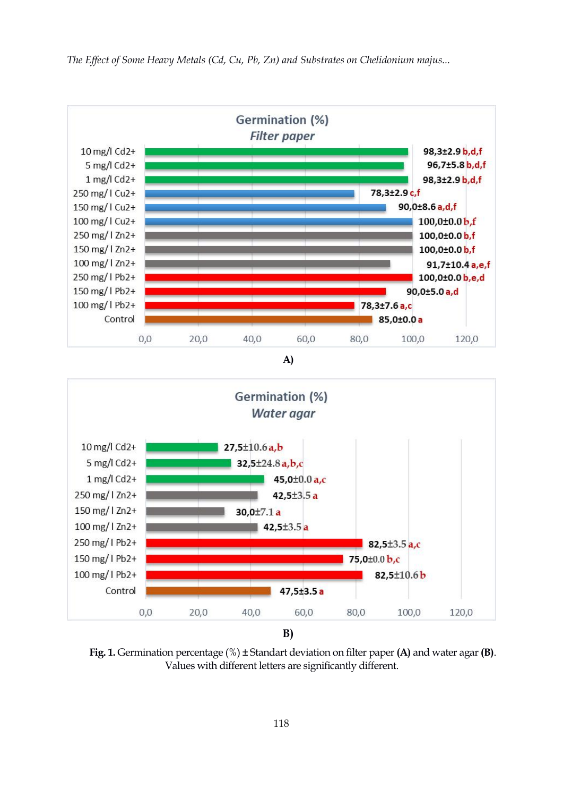

*The Ef ect of Some Heavy Metals (Cd, Cu, Pb, Zn) and Substrates on Chelidonium majus...*





**Fig. 1.** Germination percentage (%) ± Standart deviation on filter paper**(A)** and water agar**(B)**. Values with different letters are significantly different.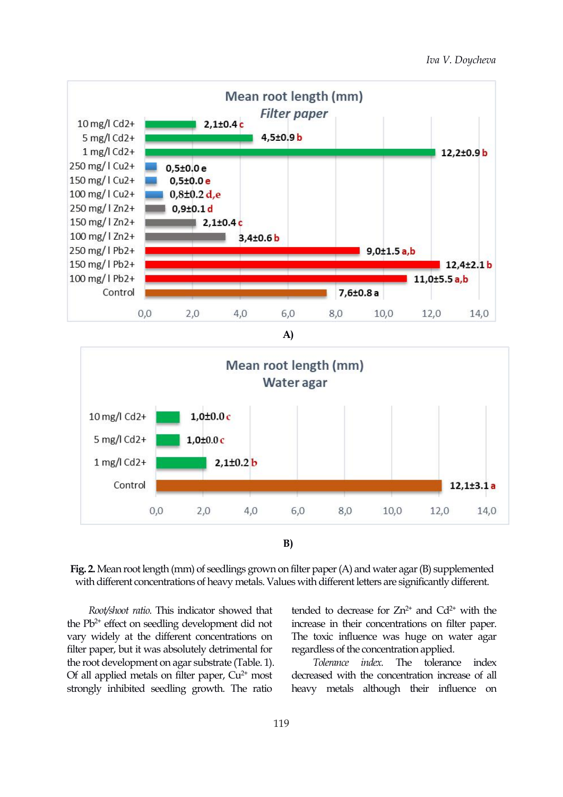

**B)**

Fig. 2. Mean root length (mm) of seedlings grown on filter paper (A) and water agar (B) supplemented with different concentrations of heavy metals. Values with different letters are significantly different.

*Root/shoot ratio.* This indicator showed that the  $Pb^{2+}$  effect on seedling development did not increase in their co vary widely at the different concentrations on filter paper, but it was absolutely detrimental for the root development on agar substrate (Table. 1). Of all applied metals on filter paper,  $Cu^{2+}$  most strongly inhibited seedling growth. The ratio

tended to decrease for  $Zn^{2+}$  and  $Cd^{2+}$  with the increase in their concentrations on filter paper. The toxic influence was huge on water agar regardless of the concentration applied.

2+ most decreased with the concentration increase of all *index*. The tolerance index. heavy metals although their influence on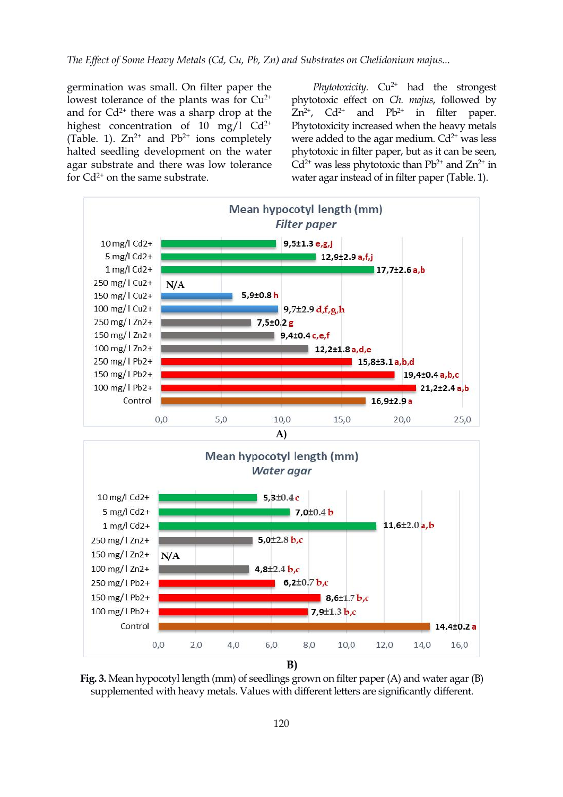germination was small. On filter paper the lowest tolerance of the plants was for  $Cu^{2+}$ and for  $Cd^{2+}$  there was a sharp drop at the  $Zn^{2+}$ ,  $Cd^{2+}$  and highest concentration of 10 mg/l  $Cd^{2+}$ (Table. 1).  $Zn^{2+}$  and  $Pb^{2+}$  ions completely halted seedling development on the water agar substrate and there was low tolerance for  $Cd^{2+}$  on the same substrate.

2+ phytotoxic effect on *Ch. majus*, followed by 2+ Phytotoxicity increased when the heavy metals ions completely were added to the agar medium. Cd<sup>2+</sup> was less *Phytotoxicity.* Cu 2+ had the strongest  $Zn^{2+}$ ,  $Cd^{2+}$  and  $Pb^{2+}$  in filter paper. phytotoxic in filter paper, but as it can be seen,  $Cd<sup>2+</sup>$  was less phytotoxic than  $Pb<sup>2+</sup>$  and  $Zn<sup>2+</sup>$  in in water agar instead of in filter paper (Table. 1).





**Fig. 3.** Mean hypocotyl length (mm) of seedlings grown on filter paper (A) and water agar(B) supplemented with heavy metals. Values with different letters are significantly different.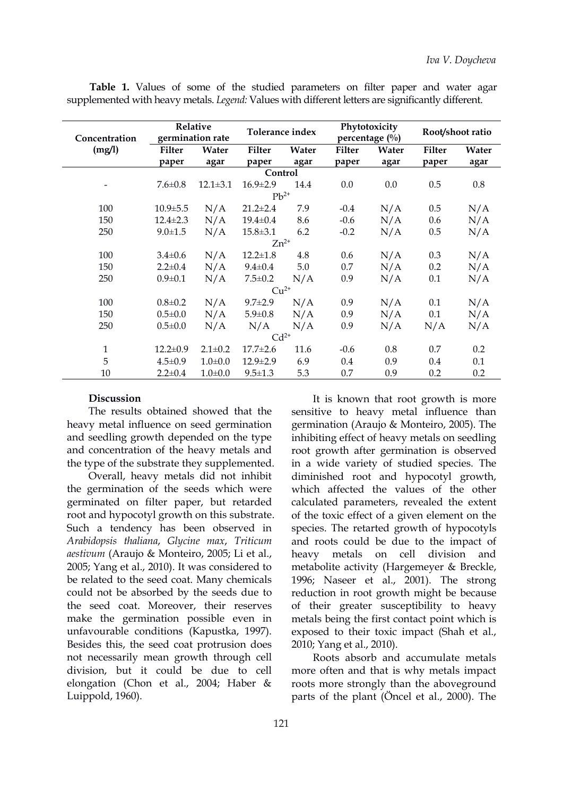| Concentration<br>(mg/l) | Relative<br>germination rate |                | Tolerance index |         | Phytotoxicity<br>percentage $(\%)$ |       | Root/shoot ratio |       |
|-------------------------|------------------------------|----------------|-----------------|---------|------------------------------------|-------|------------------|-------|
|                         | <b>Filter</b>                | Water          | <b>Filter</b>   | Water   | <b>Filter</b>                      | Water | <b>Filter</b>    | Water |
|                         | paper                        | agar           | paper           | agar    | paper                              | agar  | paper            | agar  |
|                         |                              |                | Control         |         |                                    |       |                  |       |
|                         | $7.6 \pm 0.8$                | $12.1 \pm 3.1$ | $16.9 \pm 2.9$  | 14.4    | 0.0                                | 0.0   | 0.5              | 0.8   |
|                         |                              |                | $Pb^{2+}$       |         |                                    |       |                  |       |
| 100                     | $10.9 \pm 5.5$               | N/A            | $21.2 \pm 2.4$  | 7.9     | $-0.4$                             | N/A   | $0.5\,$          | N/A   |
| 150                     | $12.4 \pm 2.3$               | N/A            | $19.4 \pm 0.4$  | 8.6     | $-0.6$                             | N/A   | 0.6              | N/A   |
| 250                     | $9.0 \pm 1.5$                | N/A            | $15.8 \pm 3.1$  | 6.2     | $-0.2$                             | N/A   | 0.5              | N/A   |
|                         |                              |                | $Zn^{2+}$       |         |                                    |       |                  |       |
| 100                     | $3.4 \pm 0.6$                | N/A            | $12.2 \pm 1.8$  | 4.8     | 0.6                                | N/A   | 0.3              | N/A   |
| 150                     | $2.2 \pm 0.4$                | N/A            | $9.4 \pm 0.4$   | $5.0\,$ | 0.7                                | N/A   | 0.2              | N/A   |
| 250                     | $0.9 \pm 0.1$                | N/A            | $7.5 \pm 0.2$   | N/A     | 0.9                                | N/A   | 0.1              | N/A   |
|                         |                              |                | $Cu2+$          |         |                                    |       |                  |       |
| 100                     | $0.8 \pm 0.2$                | N/A            | $9.7 \pm 2.9$   | N/A     | 0.9                                | N/A   | 0.1              | N/A   |
| 150                     | $0.5 \pm 0.0$                | N/A            | $5.9 \pm 0.8$   | N/A     | 0.9                                | N/A   | 0.1              | N/A   |
| 250                     | $0.5 \pm 0.0$                | N/A            | N/A             | N/A     | 0.9                                | N/A   | N/A              | N/A   |
|                         |                              |                | $Cd2+$          |         |                                    |       |                  |       |
| $\mathbf{1}$            | $12.2 \pm 0.9$               | $2.1 \pm 0.2$  | $17.7 \pm 2.6$  | 11.6    | $-0.6$                             | 0.8   | 0.7              | 0.2   |
| 5                       | $4.5 \pm 0.9$                | $1.0 \pm 0.0$  | $12.9 \pm 2.9$  | 6.9     | $0.4\,$                            | 0.9   | $0.4\,$          | 0.1   |
| 10                      | $2.2 \pm 0.4$                | $1.0 \pm 0.0$  | $9.5 \pm 1.3$   | 5.3     | 0.7                                | 0.9   | 0.2              | 0.2   |

**Table 1.** Values of some of the studied parameters on filter paper and water agar supplemented with heavy metals. *Legend:* Values with different letters are significantly different.

#### **Discussion**

The results obtained showed that the heavy metal influence on seed germination and seedling growth depended on the type and concentration of the heavy metals and the type of the substrate they supplemented.

Overall, heavy metals did not inhibit the germination of the seeds which were germinated on filter paper, but retarded root and hypocotyl growth on this substrate. Such a tendency has been observed in *Arabidopsis thaliana*, *Glycine max*,*Triticum aestivum* (Araujo & Monteiro, 2005; Li et al., 2005; Yang et al., 2010). It was considered to be related to the seed coat. Many chemicals could not be absorbed by the seeds due to the seed coat. Moreover, their reserves make the germination possible even in unfavourable conditions (Kapustka, 1997). Besides this, the seed coat protrusion does not necessarily mean growth through cell division, but it could be due to cell elongation (Chon et al., 2004; Haber & Luippold, 1960).

Roots absorb and accumulate metals more often and that is why metals impact roots more strongly than the aboveground parts of the plant (Öncel et al., 2000). The

It is known that root growth is more sensitive to heavy metal influence than germination (Araujo & Monteiro, 2005). The inhibiting effect of heavy metals on seedling root growth after germination is observed in a wide variety of studied species. The diminished root and hypocotyl growth, which affected the values of the other calculated parameters, revealed the extent of the toxic effect of a given element on the species. The retarted growth of hypocotyls and roots could be due to the impact of heavy metals on cell division and metabolite activity (Hargemeyer & Breckle, 1996; Naseer et al., 2001). The strong reduction in root growth might be because of their greater susceptibility to heavy metals being the first contact point which is exposed to their toxic impact (Shah et al., 2010; Yang et al., 2010).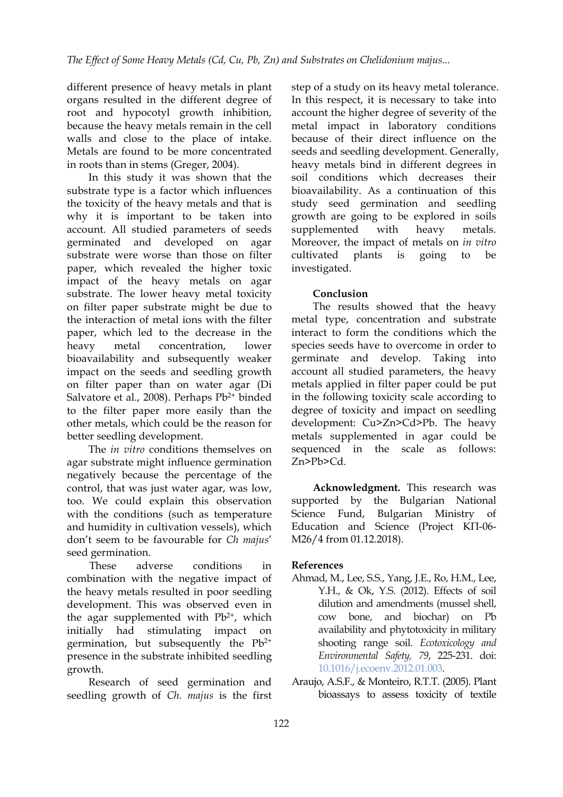different presence of heavy metals in plant organs resulted in the different degree of root and hypocotyl growth inhibition, because the heavy metals remain in the cell walls and close to the place of intake. Metals are found to be more concentrated in roots than in stems (Greger, 2004).

In this study it was shown that the substrate type is a factor which influences the toxicity of the heavy metals and that is why it is important to be taken into account. All studied parameters of seeds germinated and developed on agar substrate were worse than those on filter cultivated plants paper, which revealed the higher toxic impact of the heavy metals on agar substrate. The lower heavy metal toxicity on filter paper substrate might be due to the interaction of metal ions with the filter paper, which led to the decrease in the heavy metal concentration, lower bioavailability and subsequently weaker impact on the seeds and seedling growth on filter paper than on water agar (Di Salvatore et al., 2008). Perhaps Pb<sup>2+</sup> binded to the filter paper more easily than the other metals, which could be the reason for better seedling development.

The *in vitro* conditions themselves on agar substrate might influence germination negatively because the percentage of the control, that was just water agar, was low, too. We could explain this observation with the conditions (such as temperature Science Fund, and humidity in cultivation vessels), which don't seem to be favourable for *Ch majus*' seed germination.

These adverse conditions in **References** combination with the negative impact of the heavy metals resulted in poor seedling development. This was observed even in the agar supplemented with  $Pb^{2+}$ , which cow initially had stimulating impact on germination, but subsequently the  $Pb^{2+}$ presence in the substrate inhibited seedling growth.

Research of seed germination and seedling growth of *Ch. majus* is the first step of astudy on its heavy metal tolerance. In this respect, it is necessary to take into account the higher degree of severity of the metal impact in laboratory conditions because of their direct influence on the seeds and seedling development. Generally, heavy metals bind in different degrees in soil conditions which decreases their bioavailability. As a continuation of this study seed germination and seedling growth are going to be explored in soils supplemented with heavy metals. Moreover, the impact of metals on *in vitro* cultivated plants is going to be investigated.

## **Conclusion**

2+ binded in the following toxicity scale according to The results showed that the heavy metal type, concentration and substrate interact to form the conditions which the species seeds have to overcome in order to germinate and develop. Taking into account all studied parameters, the heavy metals applied in filter paper could be put degree of toxicity and impact on seedling development: Cu>Zn>Cd>Pb. The heavy metals supplemented in agar could be sequenced in the scale as follows: Zn>Pb>Cd.

> **Acknowledgment.** This research was supported by the Bulgarian National Bulgarian Ministry of Education and Science (Project КП-06- М26/4 from 01.12.2018).

- , which cow bone, and biochar) on Pb 2+ shooting range soil. *Ecotoxicology and* Ahmad, M., Lee, S.S., Yang, J.E., Ro, H.M., Lee, Y.H., & Ok, Y.S. (2012). Effects of soil dilution and amendments (mussel shell, availability and phytotoxicity in military *Environmental Safety, 79*, 225-231. doi: [10.1016/j.ecoenv.2012.01.003.](https://doi.org/10.1016/j.ecoenv.2012.01.003)
	- Araujo, A.S.F., & Monteiro, R.T.T. (2005). Plant bioassays to assess toxicity of textile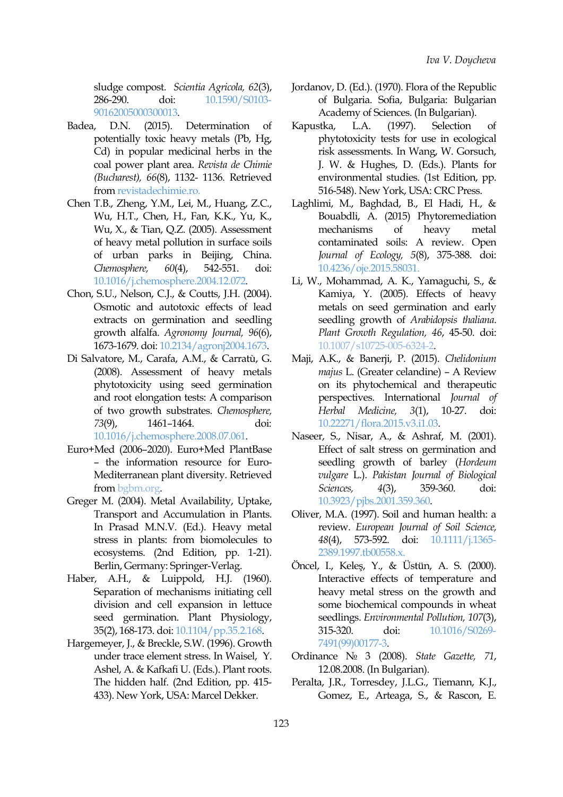sludge compost. *Scientia Agricola, 62*(3), 286-290. doi: [10.1590/S0103-](https://doi.org/10.1590/S0103-90162005000300013) 90162005000300013.

- Badea, D.N. (2015). Determination of Kapustka, L.A. potentially toxic heavy metals (Pb, Hg, Cd) in popular medicinal herbs in the coal power plant area. *Revista de Chimie (Bucharest), 66*(8), 1132- 1136. Retrieved from [revistadechimie.ro](https://revistadechimie.ro/Articles.asp?ID=4593).
- Chen T.B., Zheng, Y.M., Lei, M., Huang, Z.C., Wu, H.T., Chen, H., Fan, K.K., Yu, K., Wu, X., & Tian, Q.Z. (2005). Assessment of heavy metal pollution in surface soils of urban parks in Beijing, China. *Chemosphere, 60*(4), 542-551. doi: [10.1016/j.chemosphere.2004.12.072.](https://doi.org/10.1016/j.chemosphere.2004.12.072)
- Chon, S.U., Nelson, C.J., & Coutts, J.H. (2004). Osmotic and autotoxic effects of lead extracts on germination and seedling growth alfalfa. *Agronomy Journal, 96*(6), 1673-1679. doi: [10.2134/agronj2004.1673](https://doi.org/10.2134/agronj2004.1673).
- Di Salvatore, M., Carafa, A.M., & Carratù, G. (2008). Assessment of heavy metals phytotoxicity using seed germination and root elongation tests: A comparison of two growth substrates. *Chemosphere, 73*(9), 1461–1464. doi: [10.1016/j.chemosphere.2008.07.061.](https://doi.org/10.1016/j.chemosphere.2008.07.061)
- Euro+Med (2006–2020). Euro+Med PlantBase – the information resource for Euro- Mediterranean plant diversity. Retrieved from [bgbm.org.](https://bgbm.org)
- Greger M. (2004). Metal Availability, Uptake, Transport and Accumulation in Plants. In Prasad M.N.V. (Ed.). Heavy metal stress in plants: from biomolecules to ecosystems. (2nd Edition, pp. 1-21). Berlin, Germany: Springer-Verlag.
- Haber, A.H., & Luippold, H.J. (1960). Separation of mechanisms initiating cell division and cell expansion in lettuce seed germination. Plant Physiology, 35(2), 168-173. doi: [10.1104/pp.35.2.168.](https://doi.org/10.1104/pp.35.2.168)
- Hargemeyer, J., & Breckle, S.W. (1996). Growth under trace element stress. In Waisel, Y. Ashel, A. & Kafkafi U. (Eds.). Plant roots. The hidden half. (2nd Edition, pp. 415- 433). New York, USA: Marcel Dekker.
- Jordanov, D. (Ed.). (1970). Flora of the Republic of Bulgaria. Sofia, Bulgaria: Bulgarian Academy of Sciences. (In Bulgarian).
- Kapustka, L.A. (1997). Selection of phytotoxicity tests for use in ecological risk assessments. In Wang, W. Gorsuch, J. W. & Hughes, D. (Eds.). Plants for environmental studies. (1st Edition, pp. 516-548). New York, USA: CRC Press.
- Laghlimi, M., Baghdad, B., El Hadi, H., & Bouabdli, A. (2015) Phytoremediation mechanisms of heavy metal contaminated soils: A review. Open *Journal of Ecology, 5*(8), 375-388. doi: [10.4236/oje.2015.58031](https://doi.org/10.4236/oje.2015.58031).
- Li, W., Mohammad, A. K., Yamaguchi, S., & Kamiya, Y. (2005). Effects of heavy metals on seed germination and early seedling growth of *Arabidopsis thaliana*. *Plant Growth Regulation, 46*, 45-50. doi: [10.1007/s10725-005-6324-2.](https://doi.org/10.1007/s10725-005-6324-2)
- Maji, A.K., & Banerji, P. (2015). *Chelidonium majus* L. (Greater celandine) – A Review on its phytochemical and therapeutic perspectives. International *Journal of Herbal Medicine, 3*(1), 10-27. doi: [10.22271/flora.2015.v3.i1.03](https://doi.org/10.22271/flora.2015.v3.i1.03).
- Naseer, S., Nisar, A., & Ashraf, M. (2001). Effect of salt stress on germination and seedling growth of barley (*Hordeum vulgare* L.). *Pakistan Journal of Biological Sciences, 4*(3), 359-360. doi: [10.3923/pjbs.2001.359.360.](https://doi.org/10.3923/pjbs.2001.359.360)
- Oliver, M.A. (1997). Soil and human health: a review. *European Journal of Soil Science, 48*(4), 573-592. doi: [10.1111/j.1365-](https://doi.org/10.1111/j.1365-2389.1997.tb00558.x) 2389.1997.tb00558.x.
- Öncel, I., Keleş, Y., & Üstün, A. S. (2000). Interactive effects of temperature and heavy metal stress on the growth and some biochemical compounds in wheat seedlings. *Environmental Pollution, 107*(3), 315-320. doi: [10.1016/S0269-](https://doi.org/10.1016/S0269-7491(99)00177-3) 7491(99)00177-3.
- Ordinance № 3 (2008). *State Gazette, 71*, 12.08.2008. (In Bulgarian).
- Peralta, J.R., Torresdey, J.L.G., Tiemann, K.J., Gomez, E., Arteaga, S., & Rascon, E.